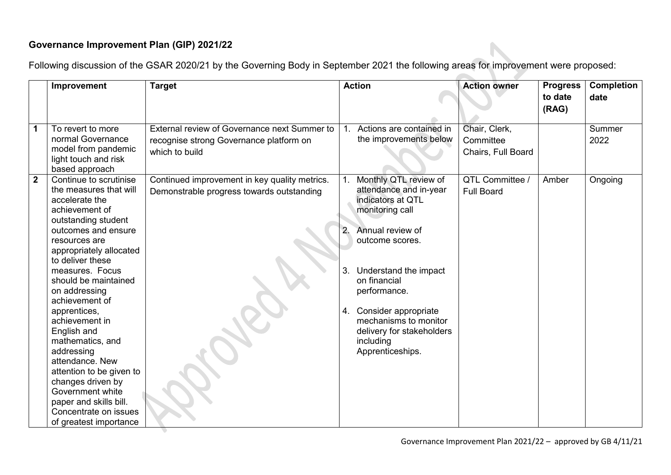## **Governance Improvement Plan (GIP) 2021/22**

Following discussion of the GSAR 2020/21 by the Governing Body in September 2021 the following areas for improvement were proposed:

|                | Improvement                                                                                                                                                                                                                                                                                                                                                                                                                                                                                                                              | <b>Target</b>                                                                                             |                | <b>Action</b>                                                                                                                                                                                                                                                                                          | <b>Action owner</b>                              | <b>Progress</b><br>to date<br>(RAG) | <b>Completion</b><br>date |
|----------------|------------------------------------------------------------------------------------------------------------------------------------------------------------------------------------------------------------------------------------------------------------------------------------------------------------------------------------------------------------------------------------------------------------------------------------------------------------------------------------------------------------------------------------------|-----------------------------------------------------------------------------------------------------------|----------------|--------------------------------------------------------------------------------------------------------------------------------------------------------------------------------------------------------------------------------------------------------------------------------------------------------|--------------------------------------------------|-------------------------------------|---------------------------|
| 1              | To revert to more<br>normal Governance<br>model from pandemic<br>light touch and risk<br>based approach                                                                                                                                                                                                                                                                                                                                                                                                                                  | External review of Governance next Summer to<br>recognise strong Governance platform on<br>which to build |                | 1. Actions are contained in<br>the improvements below                                                                                                                                                                                                                                                  | Chair, Clerk,<br>Committee<br>Chairs, Full Board |                                     | Summer<br>2022            |
| $\overline{2}$ | Continue to scrutinise<br>the measures that will<br>accelerate the<br>achievement of<br>outstanding student<br>outcomes and ensure<br>resources are<br>appropriately allocated<br>to deliver these<br>measures. Focus<br>should be maintained<br>on addressing<br>achievement of<br>apprentices,<br>achievement in<br>English and<br>mathematics, and<br>addressing<br>attendance. New<br>attention to be given to<br>changes driven by<br>Government white<br>paper and skills bill.<br>Concentrate on issues<br>of greatest importance | Continued improvement in key quality metrics.<br>Demonstrable progress towards outstanding                | 2.<br>3.<br>4. | Monthly QTL review of<br>attendance and in-year<br>indicators at QTL<br>monitoring call<br>Annual review of<br>outcome scores.<br>Understand the impact<br>on financial<br>performance.<br>Consider appropriate<br>mechanisms to monitor<br>delivery for stakeholders<br>including<br>Apprenticeships. | QTL Committee<br><b>Full Board</b>               | Amber                               | Ongoing                   |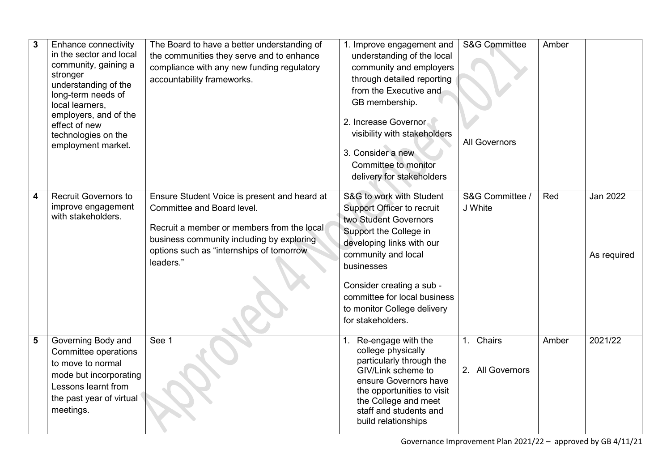| 3 | Enhance connectivity<br>in the sector and local<br>community, gaining a<br>stronger<br>understanding of the<br>long-term needs of<br>local learners,<br>employers, and of the<br>effect of new<br>technologies on the<br>employment market. | The Board to have a better understanding of<br>the communities they serve and to enhance<br>compliance with any new funding regulatory<br>accountability frameworks.                                                           | 1. Improve engagement and<br>understanding of the local<br>community and employers<br>through detailed reporting<br>from the Executive and<br>GB membership.<br>2. Increase Governor<br>visibility with stakeholders<br>3. Consider a new<br>Committee to monitor<br>delivery for stakeholders | <b>S&amp;G Committee</b><br><b>All Governors</b> | Amber |                                |
|---|---------------------------------------------------------------------------------------------------------------------------------------------------------------------------------------------------------------------------------------------|--------------------------------------------------------------------------------------------------------------------------------------------------------------------------------------------------------------------------------|------------------------------------------------------------------------------------------------------------------------------------------------------------------------------------------------------------------------------------------------------------------------------------------------|--------------------------------------------------|-------|--------------------------------|
| 4 | <b>Recruit Governors to</b><br>improve engagement<br>with stakeholders.                                                                                                                                                                     | Ensure Student Voice is present and heard at<br>Committee and Board level.<br>Recruit a member or members from the local<br>business community including by exploring<br>options such as "internships of tomorrow<br>leaders." | S&G to work with Student<br>Support Officer to recruit<br>two Student Governors<br>Support the College in<br>developing links with our<br>community and local<br>businesses<br>Consider creating a sub -<br>committee for local business<br>to monitor College delivery<br>for stakeholders.   | S&G Committee /<br>J White                       | Red   | <b>Jan 2022</b><br>As required |
| 5 | Governing Body and<br>Committee operations<br>to move to normal<br>mode but incorporating<br>Lessons learnt from<br>the past year of virtual<br>meetings.                                                                                   | See 1                                                                                                                                                                                                                          | Re-engage with the<br>college physically<br>particularly through the<br>GIV/Link scheme to<br>ensure Governors have<br>the opportunities to visit<br>the College and meet<br>staff and students and<br>build relationships                                                                     | 1. Chairs<br>2. All Governors                    | Amber | 2021/22                        |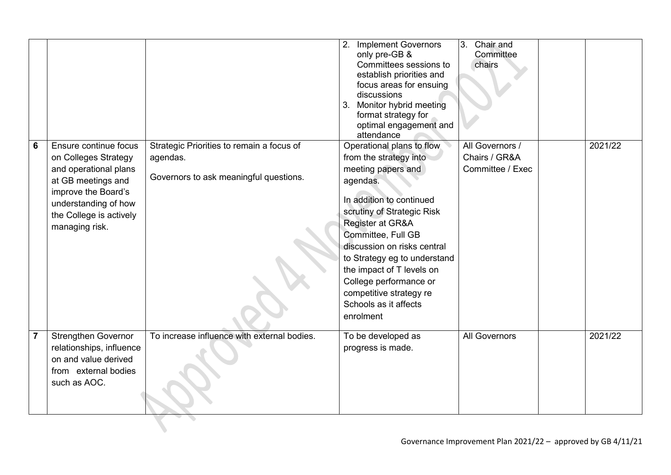|                 | Ensure continue focus                                                                                                                                           |                                                                                                 | <b>Implement Governors</b><br>2.<br>only pre-GB &<br>Committees sessions to<br>establish priorities and<br>focus areas for ensuing<br>discussions<br>Monitor hybrid meeting<br>3.<br>format strategy for<br>optimal engagement and<br>attendance                                                                                                                                 | 3.<br>Chair and<br>Committee<br>chairs<br>All Governors / |         |
|-----------------|-----------------------------------------------------------------------------------------------------------------------------------------------------------------|-------------------------------------------------------------------------------------------------|----------------------------------------------------------------------------------------------------------------------------------------------------------------------------------------------------------------------------------------------------------------------------------------------------------------------------------------------------------------------------------|-----------------------------------------------------------|---------|
| $6\phantom{1}6$ | on Colleges Strategy<br>and operational plans<br>at GB meetings and<br>improve the Board's<br>understanding of how<br>the College is actively<br>managing risk. | Strategic Priorities to remain a focus of<br>agendas.<br>Governors to ask meaningful questions. | Operational plans to flow<br>from the strategy into<br>meeting papers and<br>agendas.<br>In addition to continued<br>scrutiny of Strategic Risk<br>Register at GR&A<br>Committee, Full GB<br>discussion on risks central<br>to Strategy eg to understand<br>the impact of T levels on<br>College performance or<br>competitive strategy re<br>Schools as it affects<br>enrolment | Chairs / GR&A<br>Committee / Exec                         | 2021/22 |
| $\overline{7}$  | <b>Strengthen Governor</b><br>relationships, influence<br>on and value derived<br>from external bodies<br>such as AOC.                                          | To increase influence with external bodies.                                                     | To be developed as<br>progress is made.                                                                                                                                                                                                                                                                                                                                          | <b>All Governors</b>                                      | 2021/22 |